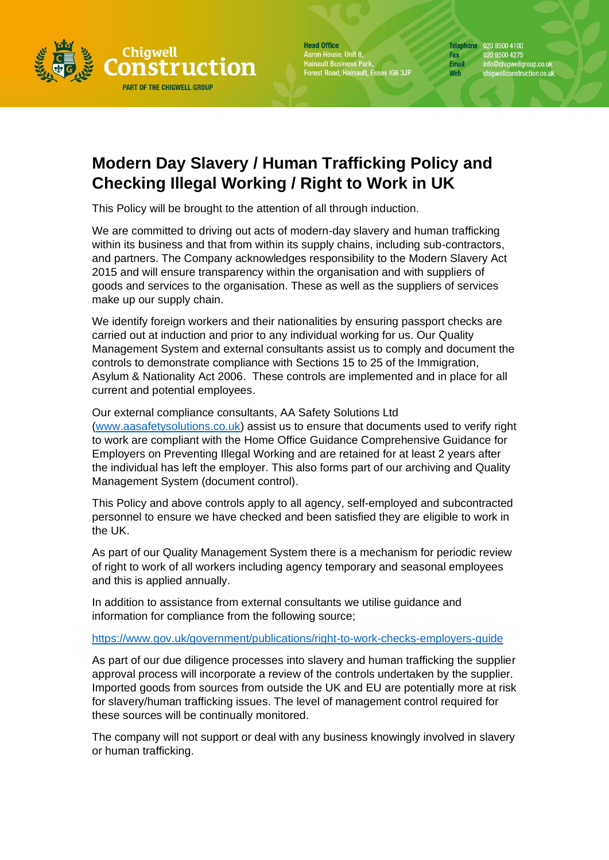

**Head Office** Aaron House, Unit 8,<br>Hainault Business Park,<br>Forest Road, Hainault, Essex IG6 3JP Telephone 020 8500 4100 Fax 020 8500 4275 info@chigwellgroup.co.uk<br>chigwellconstruction.co.uk **Email** Web

## **Modern Day Slavery / Human Trafficking Policy and Checking Illegal Working / Right to Work in UK**

This Policy will be brought to the attention of all through induction.

We are committed to driving out acts of modern-day slavery and human trafficking within its business and that from within its supply chains, including sub-contractors, and partners. The Company acknowledges responsibility to the Modern Slavery Act 2015 and will ensure transparency within the organisation and with suppliers of goods and services to the organisation. These as well as the suppliers of services make up our supply chain.

We identify foreign workers and their nationalities by ensuring passport checks are carried out at induction and prior to any individual working for us. Our Quality Management System and external consultants assist us to comply and document the controls to demonstrate compliance with Sections 15 to 25 of the Immigration, Asylum & Nationality Act 2006. These controls are implemented and in place for all current and potential employees.

## Our external compliance consultants, AA Safety Solutions Ltd

[\(www.aasafetysolutions.co.uk\)](http://www.aasafetysolutions.co.uk/) assist us to ensure that documents used to verify right to work are compliant with the Home Office Guidance Comprehensive Guidance for Employers on Preventing Illegal Working and are retained for at least 2 years after the individual has left the employer. This also forms part of our archiving and Quality Management System (document control).

This Policy and above controls apply to all agency, self-employed and subcontracted personnel to ensure we have checked and been satisfied they are eligible to work in the UK.

As part of our Quality Management System there is a mechanism for periodic review of right to work of all workers including agency temporary and seasonal employees and this is applied annually.

In addition to assistance from external consultants we utilise guidance and information for compliance from the following source;

## <https://www.gov.uk/government/publications/right-to-work-checks-employers-guide>

As part of our due diligence processes into slavery and human trafficking the supplier approval process will incorporate a review of the controls undertaken by the supplier. Imported goods from sources from outside the UK and EU are potentially more at risk for slavery/human trafficking issues. The level of management control required for these sources will be continually monitored.

The company will not support or deal with any business knowingly involved in slavery or human trafficking.